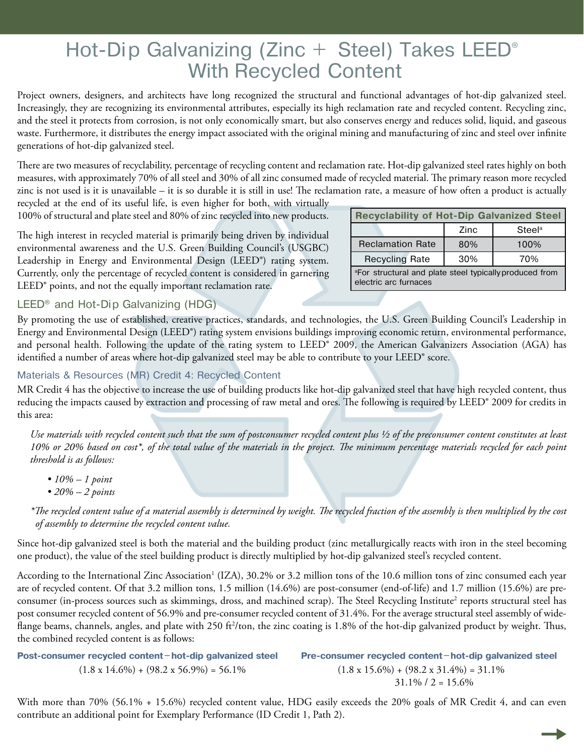# Hot-Dip Galvanizing (Zinc + Steel) Takes LEED<sup>®</sup> With Recycled Content

Project owners, designers, and architects have long recognized the structural and functional advantages of hot-dip galvanized steel. Increasingly, they are recognizing its environmental attributes, especially its high reclamation rate and recycled content. Recycling zinc, and the steel it protects from corrosion, is not only economically smart, but also conserves energy and reduces solid, liquid, and gaseous waste. Furthermore, it distributes the energy impact associated with the original mining and manufacturing of zinc and steel over infinite generations of hot-dip galvanized steel.

There are two measures of recyclability, percentage of recycling content and reclamation rate. Hot-dip galvanized steel rates highly on both measures, with approximately 70% of all steel and 30% of all zinc consumed made of recycled material. The primary reason more recycled zinc is not used is it is unavailable – it is so durable it is still in use! The reclamation rate, a measure of how often a product is actually

recycled at the end of its useful life, is even higher for both, with virtually 100% of structural and plate steel and 80% of zinc recycled into new products.

The high interest in recycled material is primarily being driven by individual environmental awareness and the U.S. Green Building Council's (USGBC) Leadership in Energy and Environmental Design (LEED®) rating system. Currently, only the percentage of recycled content is considered in garnering LEED<sup>®</sup> points, and not the equally important reclamation rate.

| <b>Recyclability of Hot-Dip Galvanized Steel</b>                                  |      |                    |
|-----------------------------------------------------------------------------------|------|--------------------|
|                                                                                   | Zinc | Steel <sup>a</sup> |
| <b>Reclamation Rate</b>                                                           | 80%  | 100%               |
| <b>Recycling Rate</b>                                                             | 30%  | 70%                |
| a For structural and plate steel typically produced from<br>electric arc furnaces |      |                    |

## LEED<sup>®</sup> and Hot-Dip Galvanizing (HDG)

By promoting the use of established, creative practices, standards, and technologies, the U.S. Green Building Council's Leadership in Energy and Environmental Design (LEED®) rating system envisions buildings improving economic return, environmental performance, and personal health. Following the update of the rating system to LEED® 2009, the American Galvanizers Association (AGA) has identified a number of areas where hot-dip galvanized steel may be able to contribute to your LEED<sup>®</sup> score.

# Materials & Resources (MR) Credit 4: Recycled Content

MR Credit 4 has the objective to increase the use of building products like hot-dip galvanized steel that have high recycled content, thus reducing the impacts caused by extraction and processing of raw metal and ores. The following is required by LEED® 2009 for credits in this area:

*Use materials with recycled content such that the sum of postconsumer recycled content plus ½ of the preconsumer content constitutes at least 10% or 20% based on cost\*, of the total value of the materials in the project. The minimum percentage materials recycled for each point threshold is as follows:*

- *10% 1 point*
- *20% 2 points*

*\*The recycled content value of a material assembly is determined by weight. The recycled fraction of the assembly is then multiplied by the cost of assembly to determine the recycled content value.*

Since hot-dip galvanized steel is both the material and the building product (zinc metallurgically reacts with iron in the steel becoming one product), the value of the steel building product is directly multiplied by hot-dip galvanized steel's recycled content.

According to the International Zinc Association<sup>1</sup> (IZA), 30.2% or 3.2 million tons of the 10.6 million tons of zinc consumed each year are of recycled content. Of that 3.2 million tons, 1.5 million (14.6%) are post-consumer (end-of-life) and 1.7 million (15.6%) are preconsumer (in-process sources such as skimmings, dross, and machined scrap). The Steel Recycling Institute<sup>2</sup> reports structural steel has post consumer recycled content of 56.9% and pre-consumer recycled content of 31.4%. For the average structural steel assembly of wideflange beams, channels, angles, and plate with 250 ft<sup>2</sup>/ton, the zinc coating is 1.8% of the hot-dip galvanized product by weight. Thus, the combined recycled content is as follows:

| Post-consumer recycled content-hot-dip galvanized steel | Pre-consumer recycled content-hot-dip galvanized steel |
|---------------------------------------------------------|--------------------------------------------------------|
| $(1.8 \times 14.6\%) + (98.2 \times 56.9\%) = 56.1\%$   | $(1.8 \times 15.6\%) + (98.2 \times 31.4\%) = 31.1\%$  |
|                                                         | $31.1\%$ / 2 = 15.6%                                   |

With more than 70% (56.1% + 15.6%) recycled content value, HDG easily exceeds the 20% goals of MR Credit 4, and can even contribute an additional point for Exemplary Performance (ID Credit 1, Path 2).